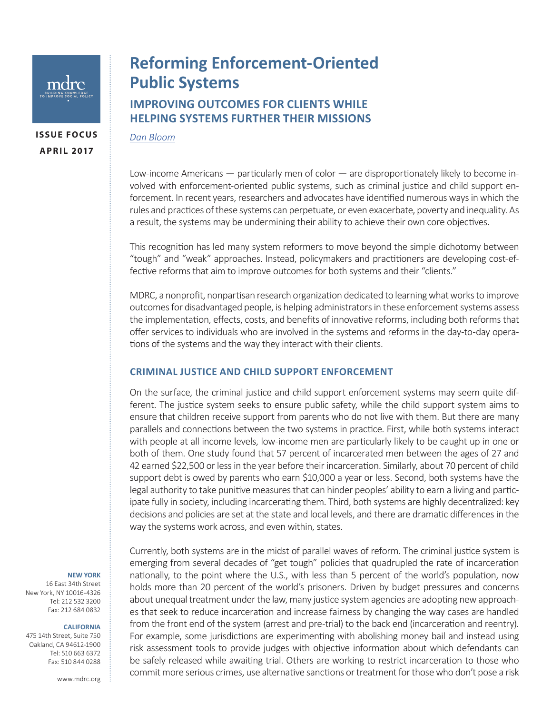

**ISSUE FOCUS APRIL 2017**

# **Reforming Enforcement-Oriented Public Systems IMPROVING OUTCOMES FOR CLIENTS WHILE HELPING SYSTEMS FURTHER THEIR MISSIONS**

*[Dan Bloom](http://preview.mdrc.org/about/dan-bloom)*

Low-income Americans — particularly men of color — are disproportionately likely to become involved with enforcement-oriented public systems, such as criminal justice and child support enforcement. In recent years, researchers and advocates have identified numerous ways in which the rules and practices of these systems can perpetuate, or even exacerbate, poverty and inequality. As a result, the systems may be undermining their ability to achieve their own core objectives.

This recognition has led many system reformers to move beyond the simple dichotomy between "tough" and "weak" approaches. Instead, policymakers and practitioners are developing cost-effective reforms that aim to improve outcomes for both systems and their "clients."

MDRC, a nonprofit, nonpartisan research organization dedicated to learning what works to improve outcomes for disadvantaged people, is helping administrators in these enforcement systems assess the implementation, effects, costs, and benefits of innovative reforms, including both reforms that offer services to individuals who are involved in the systems and reforms in the day-to-day operations of the systems and the way they interact with their clients.

## **CRIMINAL JUSTICE AND CHILD SUPPORT ENFORCEMENT**

On the surface, the criminal justice and child support enforcement systems may seem quite different. The justice system seeks to ensure public safety, while the child support system aims to ensure that children receive support from parents who do not live with them. But there are many parallels and connections between the two systems in practice. First, while both systems interact with people at all income levels, low-income men are particularly likely to be caught up in one or both of them. One study found that 57 percent of incarcerated men between the ages of 27 and 42 earned \$22,500 or less in the year before their incarceration. Similarly, about 70 percent of child support debt is owed by parents who earn \$10,000 a year or less. Second, both systems have the legal authority to take punitive measures that can hinder peoples' ability to earn a living and participate fully in society, including incarcerating them. Third, both systems are highly decentralized: key decisions and policies are set at the state and local levels, and there are dramatic differences in the way the systems work across, and even within, states.

**NEW YORK**

16 East 34th Street New York, NY 10016-4326 Tel: 212 532 3200 Fax: 212 684 0832

#### **CALIFORNIA**

475 14th Street, Suite 750 Oakland, CA 94612-1900 Tel: 510 663 6372 Fax: 510 844 0288

Currently, both systems are in the midst of parallel waves of reform. The criminal justice system is emerging from several decades of "get tough" policies that quadrupled the rate of incarceration nationally, to the point where the U.S., with less than 5 percent of the world's population, now holds more than 20 percent of the world's prisoners. Driven by budget pressures and concerns about unequal treatment under the law, many justice system agencies are adopting new approaches that seek to reduce incarceration and increase fairness by changing the way cases are handled from the front end of the system (arrest and pre-trial) to the back end (incarceration and reentry). For example, some jurisdictions are experimenting with abolishing money bail and instead using risk assessment tools to provide judges with objective information about which defendants can be safely released while awaiting trial. Others are working to restrict incarceration to those who commit more serious crimes, use alternative sanctions or treatment for those who don't pose a risk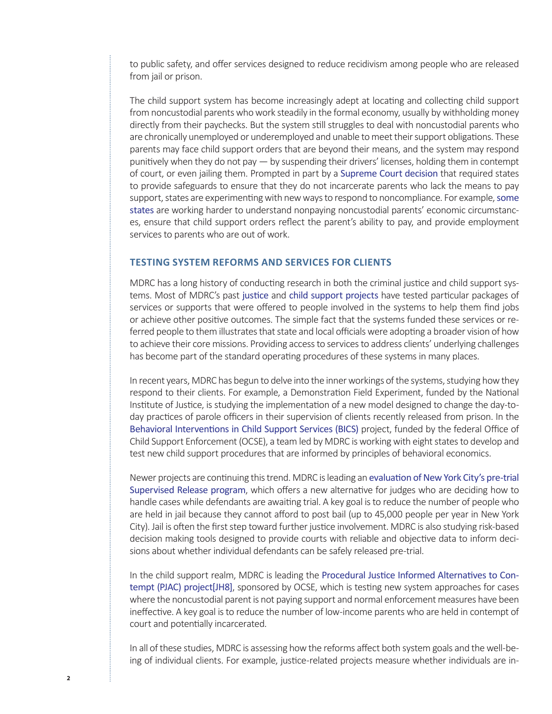to public safety, and offer services designed to reduce recidivism among people who are released from jail or prison.

The child support system has become increasingly adept at locating and collecting child support from noncustodial parents who work steadily in the formal economy, usually by withholding money directly from their paychecks. But the system still struggles to deal with noncustodial parents who are chronically unemployed or underemployed and unable to meet their support obligations. These parents may face child support orders that are beyond their means, and the system may respond punitively when they do not pay — by suspending their drivers' licenses, holding them in contempt of court, or even jailing them. Prompted in part by a [Supreme Court decision](https://www.supremecourt.gov/opinions/10pdf/10-10.pdf) that required states to provide safeguards to ensure that they do not incarcerate parents who lack the means to pay support, states are experimenting with new ways to respond to noncompliance. For example, [some](http://www.ncsea.org/)  [states](http://www.ncsea.org/) are working harder to understand nonpaying noncustodial parents' economic circumstances, ensure that child support orders reflect the parent's ability to pay, and provide employment services to parents who are out of work.

## **TESTING SYSTEM REFORMS AND SERVICES FOR CLIENTS**

MDRC has a long history of conducting research in both the criminal justice and child support systems. Most of MDRC's past [justice](http://www.mdrc.org/issue/criminal-and-juvenile-justice) and [child support projects](http://www.mdrc.org/issue/focus/child-support) have tested particular packages of services or supports that were offered to people involved in the systems to help them find jobs or achieve other positive outcomes. The simple fact that the systems funded these services or referred people to them illustrates that state and local officials were adopting a broader vision of how to achieve their core missions. Providing access to services to address clients' underlying challenges has become part of the standard operating procedures of these systems in many places.

In recent years, MDRC has begun to delve into the inner workings of the systems, studying how they respond to their clients. For example, a Demonstration Field Experiment, funded by the National Institute of Justice, is studying the implementation of a new model designed to change the day-today practices of parole officers in their supervision of clients recently released from prison. In the [Behavioral Interventions in Child Support Services \(BICS\)](http://www.mdrc.org/project/behavioral-interventions-child-support-services-bics-project#overview) project, funded by the federal Office of Child Support Enforcement (OCSE), a team led by MDRC is working with eight states to develop and test new child support procedures that are informed by principles of behavioral economics.

Newer projects are continuing this trend. MDRC is leading an [evaluation of New York City's pre-trial](http://www.mdrc.org/project/process-and-impact-evaluation-new-york-city-s-pretrial-supervised-release-program#overview)  [Supervised Release program](http://www.mdrc.org/project/process-and-impact-evaluation-new-york-city-s-pretrial-supervised-release-program#overview), which offers a new alternative for judges who are deciding how to handle cases while defendants are awaiting trial. A key goal is to reduce the number of people who are held in jail because they cannot afford to post bail (up to 45,000 people per year in New York City). Jail is often the first step toward further justice involvement. MDRC is also studying risk-based decision making tools designed to provide courts with reliable and objective data to inform decisions about whether individual defendants can be safely released pre-trial.

In the child support realm, MDRC is leading the [Procedural Justice Informed Alternatives to Con](http://www.mdrc.org/project/procedural-justice-informed-alternatives-contempt#overview)[tempt \(PJAC\) project\[JH8\]](http://www.mdrc.org/project/procedural-justice-informed-alternatives-contempt#overview), sponsored by OCSE, which is testing new system approaches for cases where the noncustodial parent is not paying support and normal enforcement measures have been ineffective. A key goal is to reduce the number of low-income parents who are held in contempt of court and potentially incarcerated.

In all of these studies, MDRC is assessing how the reforms affect both system goals and the well-being of individual clients. For example, justice-related projects measure whether individuals are in